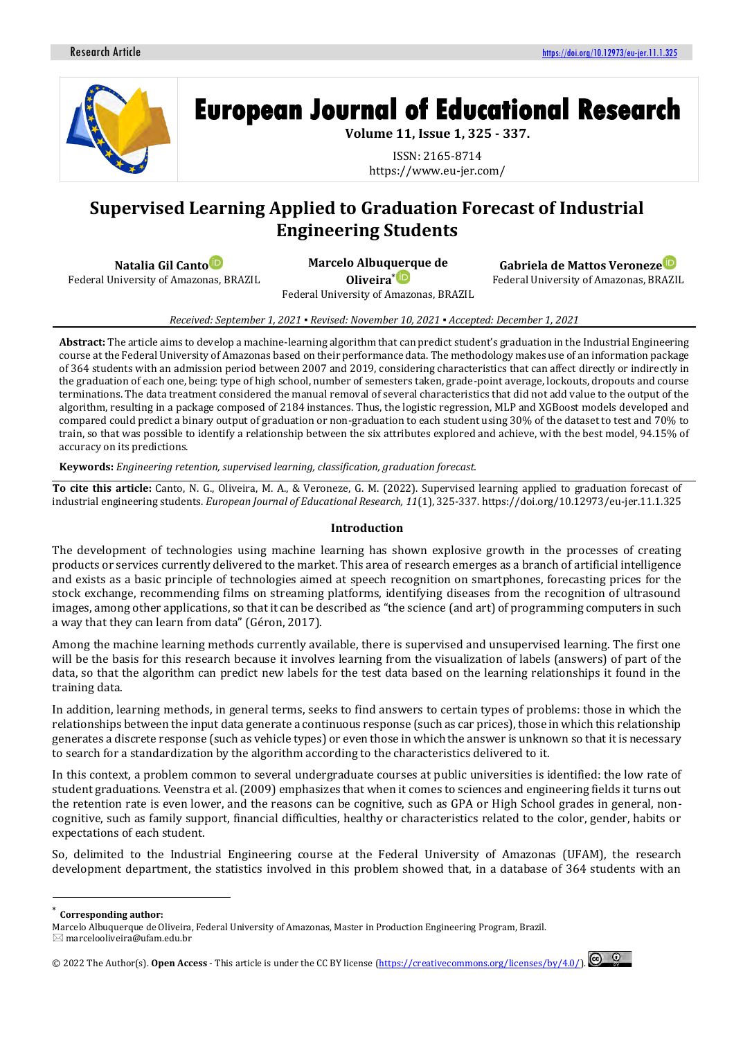

# **European Journal of Educational Research**

**Volume 11, Issue 1, 325 - 337.**

ISSN: 2165-8714 https://www.eu-jer.com/

# **Supervised Learning Applied to Graduation Forecast of Industrial Engineering Students**

**Natalia Gil Cant[o](https://orcid.org/0000-0002-1451-7452)**

Federal University of Amazonas, BRAZIL

**Marcelo Albuq[uerq](https://orcid.org/0000-0003-2496-646X)ue de Oliveira**\*

**Gabriela de Mattos Veroneze**

Federal University of Amazonas, BRAZIL

Federal University of Amazonas, BRAZIL

*Received: September 1, 2021 ▪ Revised: November 10, 2021 ▪ Accepted: December 1, 2021*

**Abstract:** The article aims to develop a machine-learning algorithm that can predict student's graduation in the Industrial Engineering course at the Federal University of Amazonas based on their performance data. The methodology makes use of an information package of 364 students with an admission period between 2007 and 2019, considering characteristics that can affect directly or indirectly in the graduation of each one, being: type of high school, number of semesters taken, grade-point average, lockouts, dropouts and course terminations. The data treatment considered the manual removal of several characteristics that did not add value to the output of the algorithm, resulting in a package composed of 2184 instances. Thus, the logistic regression, MLP and XGBoost models developed and compared could predict a binary output of graduation or non-graduation to each student using 30% of the dataset to test and 70% to train, so that was possible to identify a relationship between the six attributes explored and achieve, with the best model, 94.15% of accuracy on its predictions.

**Keywords:** *Engineering retention, supervised learning, classification, graduation forecast.*

**To cite this article:** Canto, N. G., Oliveira, M. A., & Veroneze, G. M. (2022). Supervised learning applied to graduation forecast of industrial engineering students. *European Journal of Educational Research, 11*(1), 325-337. https://doi.org/10.12973/eu-jer.11.1.325

# **Introduction**

The development of technologies using machine learning has shown explosive growth in the processes of creating products or services currently delivered to the market. This area of research emerges as a branch of artificial intelligence and exists as a basic principle of technologies aimed at speech recognition on smartphones, forecasting prices for the stock exchange, recommending films on streaming platforms, identifying diseases from the recognition of ultrasound images, among other applications, so that it can be described as "the science (and art) of programming computers in such a way that they can learn from data" (Géron, 2017).

Among the machine learning methods currently available, there is supervised and unsupervised learning. The first one will be the basis for this research because it involves learning from the visualization of labels (answers) of part of the data, so that the algorithm can predict new labels for the test data based on the learning relationships it found in the training data.

In addition, learning methods, in general terms, seeks to find answers to certain types of problems: those in which the relationships between the input data generate a continuous response (such as car prices), those in which this relationship generates a discrete response (such as vehicle types) or even those in which the answer is unknown so that it is necessary to search for a standardization by the algorithm according to the characteristics delivered to it.

In this context, a problem common to several undergraduate courses at public universities is identified: the low rate of student graduations. Veenstra et al. (2009) emphasizes that when it comes to sciences and engineering fields it turns out the retention rate is even lower, and the reasons can be cognitive, such as GPA or High School grades in general, noncognitive, such as family support, financial difficulties, healthy or characteristics related to the color, gender, habits or expectations of each student.

So, delimited to the Industrial Engineering course at the Federal University of Amazonas (UFAM), the research development department, the statistics involved in this problem showed that, in a database of 364 students with an

<sup>© 20</sup>22 The Author(s).**Open Access** - This article is under the CC BY license [\(https://creativecommons.org/licenses/by/4.0/\)](https://creativecommons.org/licenses/by/4.0/).



<sup>\*</sup> **Corresponding author:**

Marcelo Albuquerque de Oliveira, Federal University of Amazonas, Master in Production Engineering Program, Brazil.

 $\boxtimes$  marcelooliveira@ufam.edu.br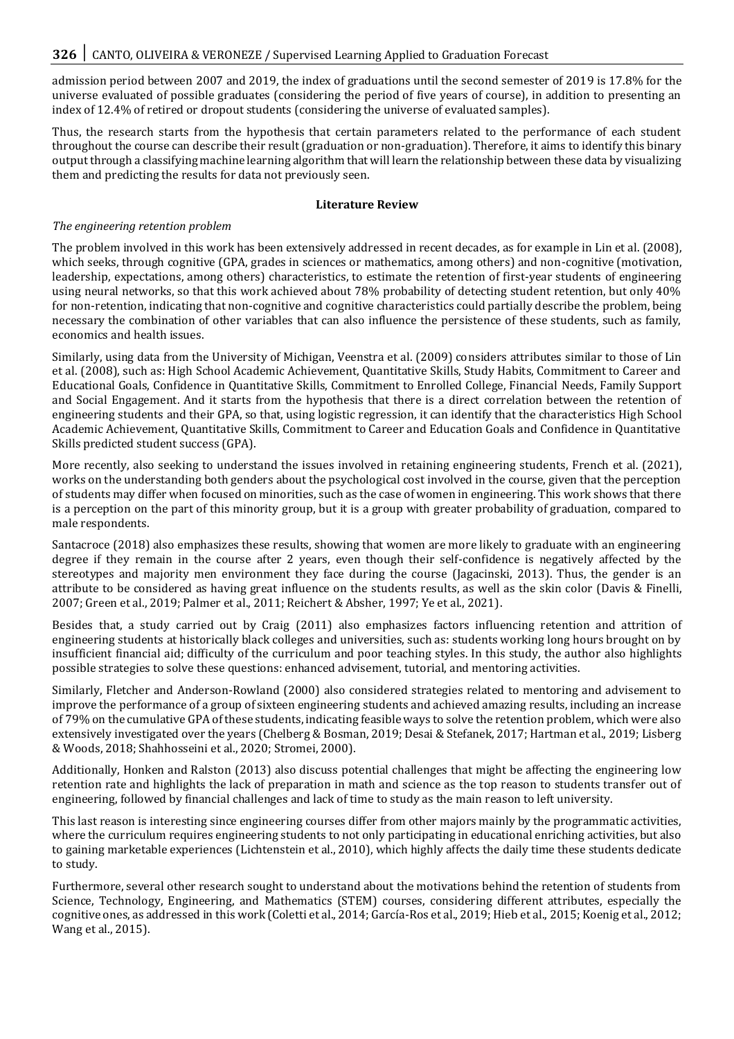admission period between 2007 and 2019, the index of graduations until the second semester of 2019 is 17.8% for the universe evaluated of possible graduates (considering the period of five years of course), in addition to presenting an index of 12.4% of retired or dropout students (considering the universe of evaluated samples).

Thus, the research starts from the hypothesis that certain parameters related to the performance of each student throughout the course can describe their result (graduation or non-graduation). Therefore, it aims to identify this binary output through a classifying machine learning algorithm that will learn the relationship between these data by visualizing them and predicting the results for data not previously seen.

#### **Literature Review**

#### *The engineering retention problem*

The problem involved in this work has been extensively addressed in recent decades, as for example in Lin et al. (2008), which seeks, through cognitive (GPA, grades in sciences or mathematics, among others) and non-cognitive (motivation, leadership, expectations, among others) characteristics, to estimate the retention of first-year students of engineering using neural networks, so that this work achieved about 78% probability of detecting student retention, but only 40% for non-retention, indicating that non-cognitive and cognitive characteristics could partially describe the problem, being necessary the combination of other variables that can also influence the persistence of these students, such as family, economics and health issues.

Similarly, using data from the University of Michigan, Veenstra et al. (2009) considers attributes similar to those of Lin et al. (2008), such as: High School Academic Achievement, Quantitative Skills, Study Habits, Commitment to Career and Educational Goals, Confidence in Quantitative Skills, Commitment to Enrolled College, Financial Needs, Family Support and Social Engagement. And it starts from the hypothesis that there is a direct correlation between the retention of engineering students and their GPA, so that, using logistic regression, it can identify that the characteristics High School Academic Achievement, Quantitative Skills, Commitment to Career and Education Goals and Confidence in Quantitative Skills predicted student success (GPA).

More recently, also seeking to understand the issues involved in retaining engineering students, French et al. (2021), works on the understanding both genders about the psychological cost involved in the course, given that the perception of students may differ when focused on minorities, such as the case of women in engineering. This work shows that there is a perception on the part of this minority group, but it is a group with greater probability of graduation, compared to male respondents.

Santacroce (2018) also emphasizes these results, showing that women are more likely to graduate with an engineering degree if they remain in the course after 2 years, even though their self-confidence is negatively affected by the stereotypes and majority men environment they face during the course (Jagacinski, 2013). Thus, the gender is an attribute to be considered as having great influence on the students results, as well as the skin color (Davis & Finelli, 2007; Green et al., 2019; Palmer et al., 2011; Reichert & Absher, 1997; Ye et al., 2021).

Besides that, a study carried out by Craig (2011) also emphasizes factors influencing retention and attrition of engineering students at historically black colleges and universities, such as: students working long hours brought on by insufficient financial aid; difficulty of the curriculum and poor teaching styles. In this study, the author also highlights possible strategies to solve these questions: enhanced advisement, tutorial, and mentoring activities.

Similarly, Fletcher and Anderson-Rowland (2000) also considered strategies related to mentoring and advisement to improve the performance of a group of sixteen engineering students and achieved amazing results, including an increase of 79% on the cumulative GPA of these students, indicating feasible ways to solve the retention problem, which were also extensively investigated over the years (Chelberg & Bosman, 2019; Desai & Stefanek, 2017; Hartman et al., 2019; Lisberg & Woods, 2018; Shahhosseini et al., 2020; Stromei, 2000).

Additionally, Honken and Ralston (2013) also discuss potential challenges that might be affecting the engineering low retention rate and highlights the lack of preparation in math and science as the top reason to students transfer out of engineering, followed by financial challenges and lack of time to study as the main reason to left university.

This last reason is interesting since engineering courses differ from other majors mainly by the programmatic activities, where the curriculum requires engineering students to not only participating in educational enriching activities, but also to gaining marketable experiences (Lichtenstein et al., 2010), which highly affects the daily time these students dedicate to study.

Furthermore, several other research sought to understand about the motivations behind the retention of students from Science, Technology, Engineering, and Mathematics (STEM) courses, considering different attributes, especially the cognitive ones, as addressed in this work (Coletti et al., 2014; García-Ros et al., 2019; Hieb et al., 2015; Koenig et al., 2012; Wang et al., 2015).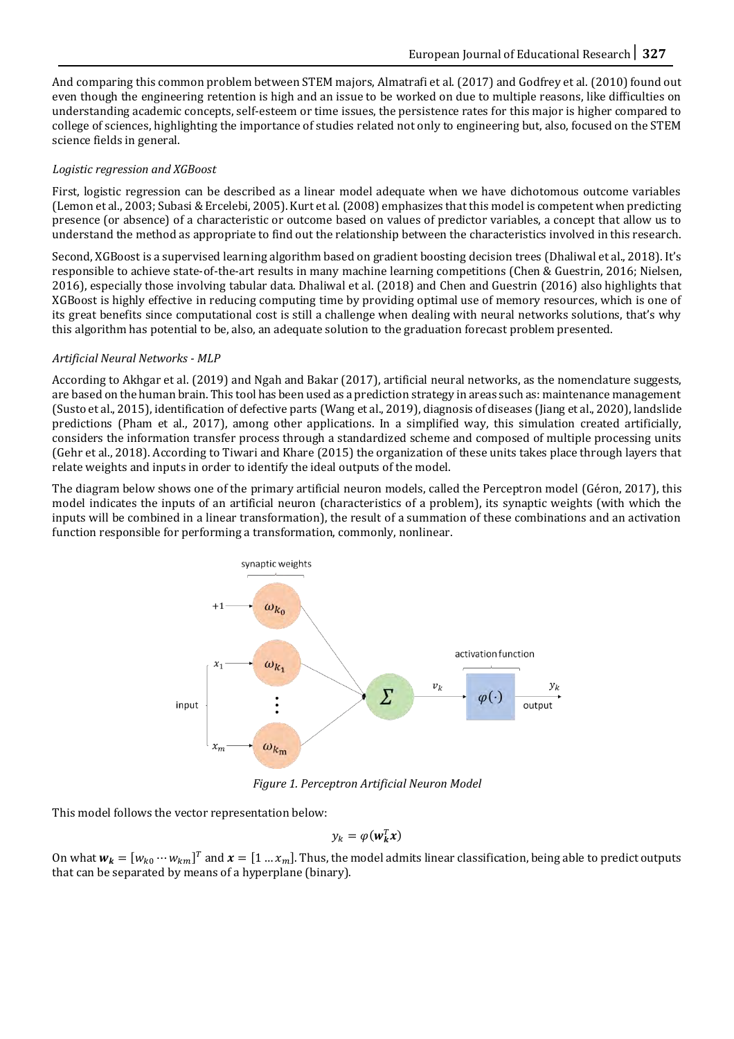And comparing this common problem between STEM majors, Almatrafi et al. (2017) and Godfrey et al. (2010) found out even though the engineering retention is high and an issue to be worked on due to multiple reasons, like difficulties on understanding academic concepts, self-esteem or time issues, the persistence rates for this major is higher compared to college of sciences, highlighting the importance of studies related not only to engineering but, also, focused on the STEM science fields in general.

#### *Logistic regression and XGBoost*

First, logistic regression can be described as a linear model adequate when we have dichotomous outcome variables (Lemon et al., 2003; Subasi & Ercelebi, 2005). Kurt et al. (2008) emphasizes that this model is competent when predicting presence (or absence) of a characteristic or outcome based on values of predictor variables, a concept that allow us to understand the method as appropriate to find out the relationship between the characteristics involved in this research.

Second, XGBoost is a supervised learning algorithm based on gradient boosting decision trees (Dhaliwal et al., 2018). It's responsible to achieve state-of-the-art results in many machine learning competitions (Chen & Guestrin, 2016; Nielsen, 2016), especially those involving tabular data. Dhaliwal et al. (2018) and Chen and Guestrin (2016) also highlights that XGBoost is highly effective in reducing computing time by providing optimal use of memory resources, which is one of its great benefits since computational cost is still a challenge when dealing with neural networks solutions, that's why this algorithm has potential to be, also, an adequate solution to the graduation forecast problem presented.

#### *Artificial Neural Networks - MLP*

According to Akhgar et al. (2019) and Ngah and Bakar (2017), artificial neural networks, as the nomenclature suggests, are based on the human brain. This tool has been used as a prediction strategy in areas such as: maintenance management (Susto et al., 2015), identification of defective parts (Wang et al., 2019), diagnosis of diseases (Jiang et al., 2020), landslide predictions (Pham et al., 2017), among other applications. In a simplified way, this simulation created artificially, considers the information transfer process through a standardized scheme and composed of multiple processing units (Gehr et al., 2018). According to Tiwari and Khare (2015) the organization of these units takes place through layers that relate weights and inputs in order to identify the ideal outputs of the model.

The diagram below shows one of the primary artificial neuron models, called the Perceptron model (Géron, 2017), this model indicates the inputs of an artificial neuron (characteristics of a problem), its synaptic weights (with which the inputs will be combined in a linear transformation), the result of a summation of these combinations and an activation function responsible for performing a transformation, commonly, nonlinear.



*Figure 1. Perceptron Artificial Neuron Model*

This model follows the vector representation below:

$$
y_k = \varphi(w_k^T x)
$$

On what  $w_k = [w_{k0} \cdots w_{km}]^T$  and  $x = [1 \ldots x_m]$ . Thus, the model admits linear classification, being able to predict outputs that can be separated by means of a hyperplane (binary).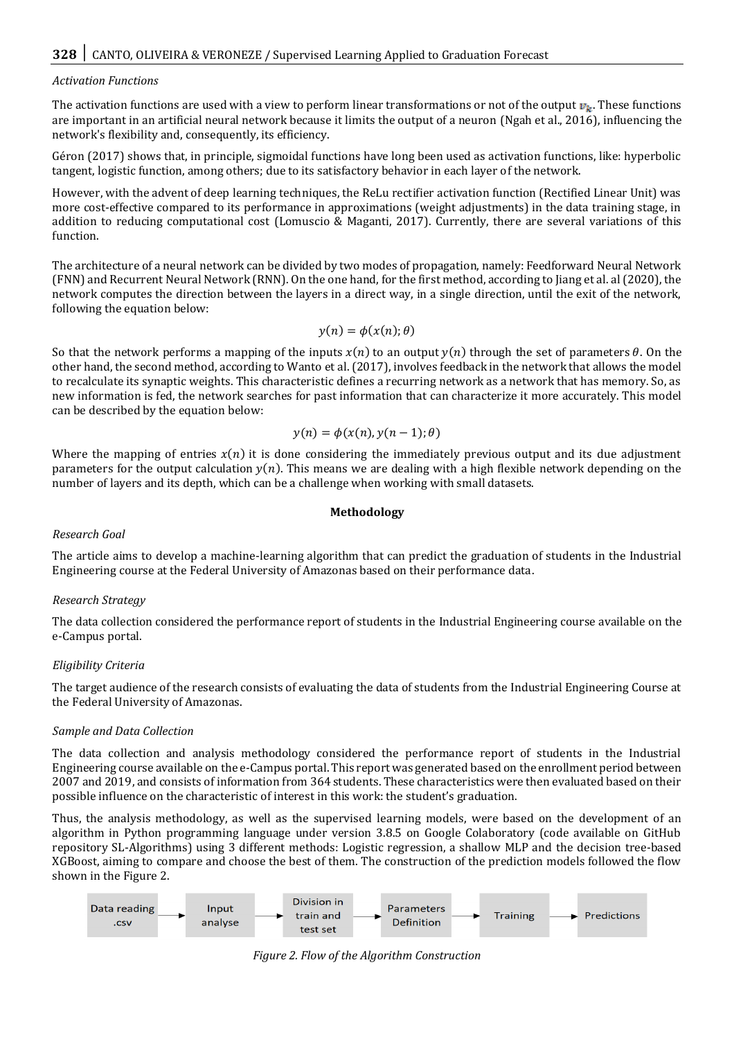#### *Activation Functions*

The activation functions are used with a view to perform linear transformations or not of the output  $v_k$ . These functions are important in an artificial neural network because it limits the output of a neuron (Ngah et al., 2016), influencing the network's flexibility and, consequently, its efficiency.

Géron (2017) shows that, in principle, sigmoidal functions have long been used as activation functions, like: hyperbolic tangent, logistic function, among others; due to its satisfactory behavior in each layer of the network.

However, with the advent of deep learning techniques, the ReLu rectifier activation function (Rectified Linear Unit) was more cost-effective compared to its performance in approximations (weight adjustments) in the data training stage, in addition to reducing computational cost (Lomuscio & Maganti, 2017). Currently, there are several variations of this function.

The architecture of a neural network can be divided by two modes of propagation, namely: Feedforward Neural Network (FNN) and Recurrent Neural Network (RNN). On the one hand, for the first method, according to Jiang et al. al (2020), the network computes the direction between the layers in a direct way, in a single direction, until the exit of the network, following the equation below:

$$
y(n) = \phi(x(n); \theta)
$$

So that the network performs a mapping of the inputs  $x(n)$  to an output  $y(n)$  through the set of parameters  $\theta$ . On the other hand, the second method, according to Wanto et al. (2017), involves feedback in the network that allows the model to recalculate its synaptic weights. This characteristic defines a recurring network as a network that has memory. So, as new information is fed, the network searches for past information that can characterize it more accurately. This model can be described by the equation below:

$$
y(n) = \phi(x(n), y(n-1); \theta)
$$

Where the mapping of entries  $x(n)$  it is done considering the immediately previous output and its due adjustment parameters for the output calculation  $y(n)$ . This means we are dealing with a high flexible network depending on the number of layers and its depth, which can be a challenge when working with small datasets.

#### **Methodology**

# *Research Goal*

The article aims to develop a machine-learning algorithm that can predict the graduation of students in the Industrial Engineering course at the Federal University of Amazonas based on their performance data.

# *Research Strategy*

The data collection considered the performance report of students in the Industrial Engineering course available on the e-Campus portal.

# *Eligibility Criteria*

The target audience of the research consists of evaluating the data of students from the Industrial Engineering Course at the Federal University of Amazonas.

#### *Sample and Data Collection*

The data collection and analysis methodology considered the performance report of students in the Industrial Engineering course available on the e-Campus portal. This report was generated based on the enrollment period between 2007 and 2019, and consists of information from 364 students. These characteristics were then evaluated based on their possible influence on the characteristic of interest in this work: the student's graduation.

Thus, the analysis methodology, as well as the supervised learning models, were based on the development of an algorithm in Python programming language under version 3.8.5 on Google Colaboratory (code available on GitHub repository SL-Algorithms) using 3 different methods: Logistic regression, a shallow MLP and the decision tree-based XGBoost, aiming to compare and choose the best of them. The construction of the prediction models followed the flow shown in the Figure 2.



*Figure 2. Flow of the Algorithm Construction*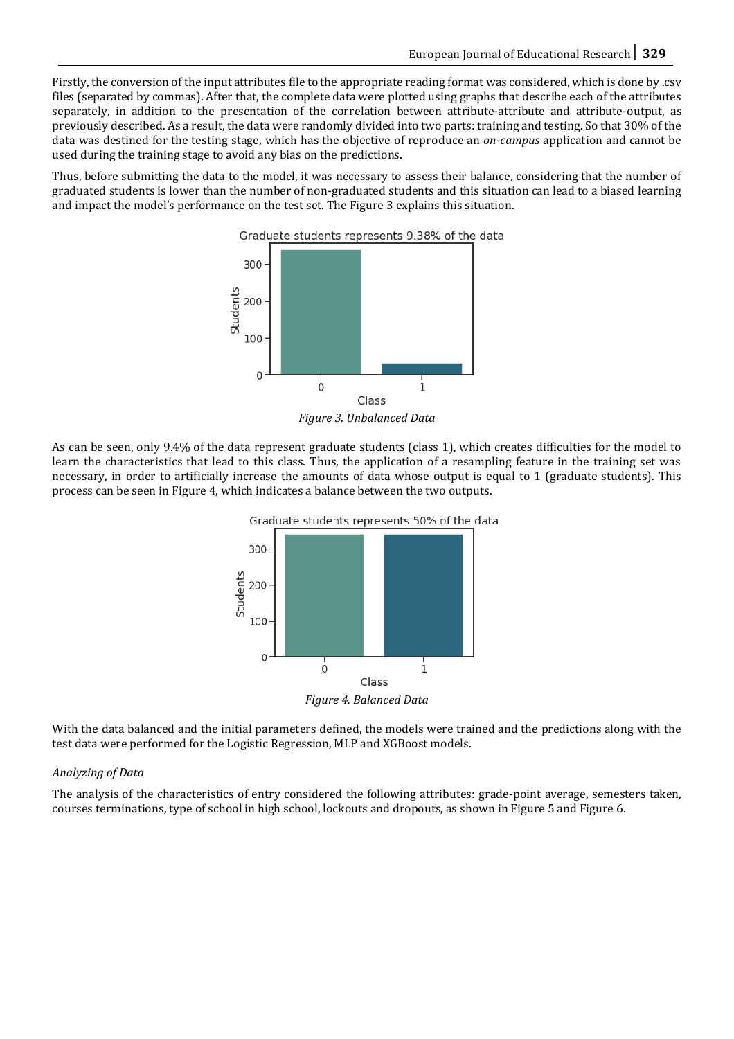Firstly, the conversion of the input attributes file to the appropriate reading format was considered, which is done by .csv files (separated by commas). After that, the complete data were plotted using graphs that describe each of the attributes separately, in addition to the presentation of the correlation between attribute-attribute and attribute-output, as previously described. As a result, the data were randomly divided into two parts: training and testing. So that 30% of the data was destined for the testing stage, which has the objective of reproduce an *on-campus* application and cannot be used during the training stage to avoid any bias on the predictions.

Thus, before submitting the data to the model, it was necessary to assess their balance, considering that the number of graduated students is lower than the number of non-graduated students and this situation can lead to a biased learning and impact the model's performance on the test set. The Figure 3 explains this situation.



*Figure 3. Unbalanced Data*

As can be seen, only 9.4% of the data represent graduate students (class 1), which creates difficulties for the model to learn the characteristics that lead to this class. Thus, the application of a resampling feature in the training set was necessary, in order to artificially increase the amounts of data whose output is equal to 1 (graduate students). This process can be seen in Figure 4, which indicates a balance between the two outputs.



*Figure 4. Balanced Data*

With the data balanced and the initial parameters defined, the models were trained and the predictions along with the test data were performed for the Logistic Regression, MLP and XGBoost models.

# *Analyzing of Data*

The analysis of the characteristics of entry considered the following attributes: grade-point average, semesters taken, courses terminations, type of school in high school, lockouts and dropouts, as shown in Figure 5 and Figure 6.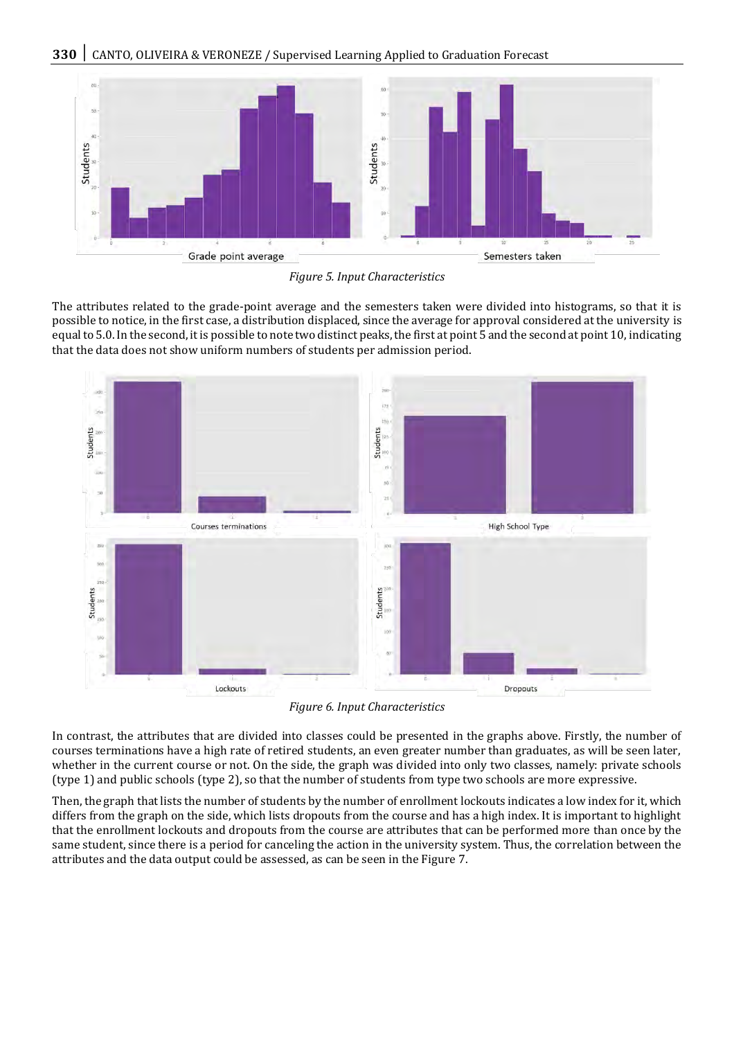

*Figure 5. Input Characteristics*

The attributes related to the grade-point average and the semesters taken were divided into histograms, so that it is possible to notice, in the first case, a distribution displaced, since the average for approval considered at the university is equal to 5.0. In the second, it is possible to note two distinct peaks, the first at point 5 and the second at point 10, indicating that the data does not show uniform numbers of students per admission period.



*Figure 6. Input Characteristics*

In contrast, the attributes that are divided into classes could be presented in the graphs above. Firstly, the number of courses terminations have a high rate of retired students, an even greater number than graduates, as will be seen later, whether in the current course or not. On the side, the graph was divided into only two classes, namely: private schools (type 1) and public schools (type 2), so that the number of students from type two schools are more expressive.

Then, the graph that lists the number of students by the number of enrollment lockouts indicates a low index for it, which differs from the graph on the side, which lists dropouts from the course and has a high index. It is important to highlight that the enrollment lockouts and dropouts from the course are attributes that can be performed more than once by the same student, since there is a period for canceling the action in the university system. Thus, the correlation between the attributes and the data output could be assessed, as can be seen in the Figure 7.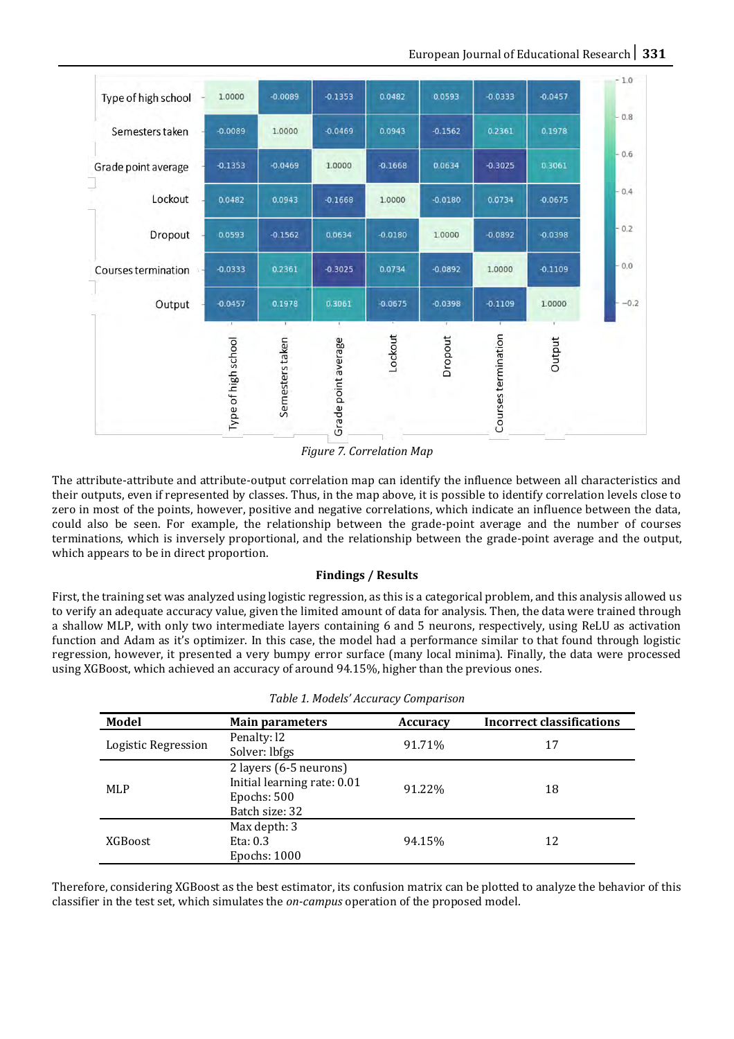

*Figure 7. Correlation Map*

The attribute-attribute and attribute-output correlation map can identify the influence between all characteristics and their outputs, even if represented by classes. Thus, in the map above, it is possible to identify correlation levels close to zero in most of the points, however, positive and negative correlations, which indicate an influence between the data, could also be seen. For example, the relationship between the grade-point average and the number of courses terminations, which is inversely proportional, and the relationship between the grade-point average and the output, which appears to be in direct proportion.

# **Findings / Results**

First, the training set was analyzed using logistic regression, as this is a categorical problem, and this analysis allowed us to verify an adequate accuracy value, given the limited amount of data for analysis. Then, the data were trained through a shallow MLP, with only two intermediate layers containing 6 and 5 neurons, respectively, using ReLU as activation function and Adam as it's optimizer. In this case, the model had a performance similar to that found through logistic regression, however, it presented a very bumpy error surface (many local minima). Finally, the data were processed using XGBoost, which achieved an accuracy of around 94.15%, higher than the previous ones.

| Model               | <b>Main parameters</b>      | <b>Accuracy</b> | <b>Incorrect classifications</b> |
|---------------------|-----------------------------|-----------------|----------------------------------|
| Logistic Regression | Penalty: 12                 | 91.71%          | 17                               |
|                     | Solver: lbfgs               |                 |                                  |
| MLP                 | 2 layers (6-5 neurons)      | 91.22%          | 18                               |
|                     | Initial learning rate: 0.01 |                 |                                  |
|                     | Epochs: 500                 |                 |                                  |
|                     | Batch size: 32              |                 |                                  |
| <b>XGBoost</b>      | Max depth: 3                |                 |                                  |
|                     | Eta: $0.3$                  | 94.15%          | 12                               |
|                     | Epochs: 1000                |                 |                                  |

|  | Table 1. Models' Accuracy Comparison |
|--|--------------------------------------|
|  |                                      |

Therefore, considering XGBoost as the best estimator, its confusion matrix can be plotted to analyze the behavior of this classifier in the test set, which simulates the *on-campus* operation of the proposed model.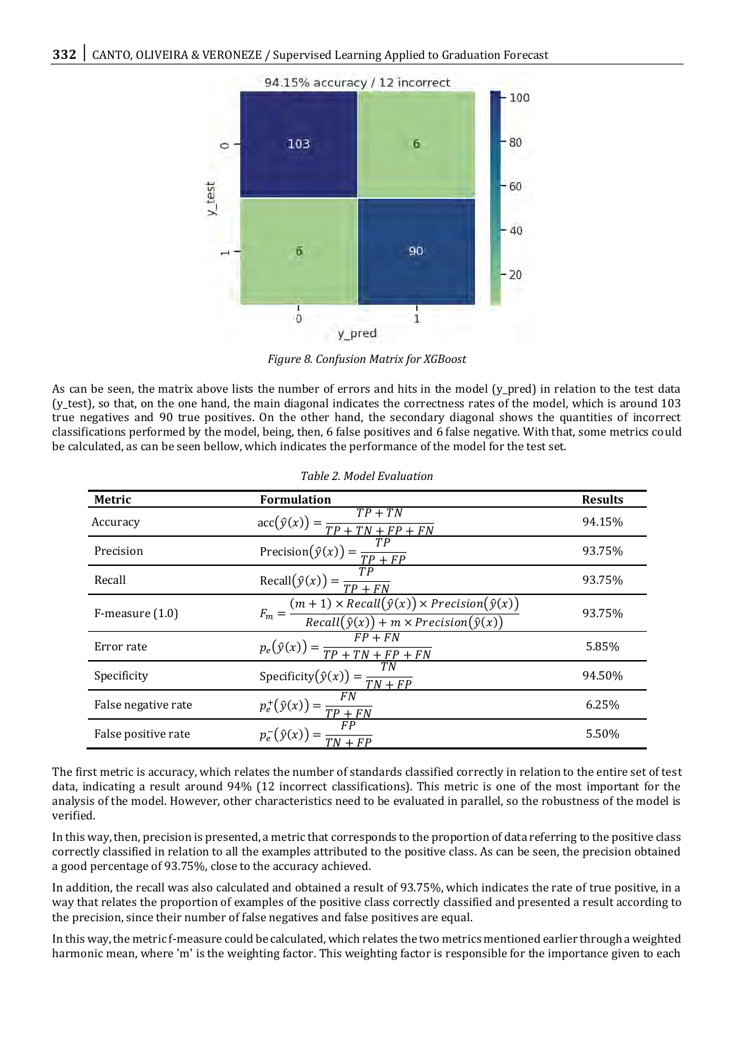

*Figure 8. Confusion Matrix for XGBoost*

As can be seen, the matrix above lists the number of errors and hits in the model (y\_pred) in relation to the test data (y\_test), so that, on the one hand, the main diagonal indicates the correctness rates of the model, which is around 103 true negatives and 90 true positives. On the other hand, the secondary diagonal shows the quantities of incorrect classifications performed by the model, being, then, 6 false positives and 6 false negative. With that, some metrics could be calculated, as can be seen bellow, which indicates the performance of the model for the test set.

| Metric               | <b>Formulation</b>                                                                                                               | <b>Results</b> |
|----------------------|----------------------------------------------------------------------------------------------------------------------------------|----------------|
| Accuracy             | $\operatorname{acc}(\hat{y}(x)) = \frac{TP + TN}{TP + TN + FP + FN}$                                                             | 94.15%         |
| Precision            | TР<br>Precision $(\hat{y}(x)) = \frac{1}{TP + FP}$                                                                               | 93.75%         |
| Recall               | $Recall(\hat{y}(x)) =$<br>$TP + FN$                                                                                              | 93.75%         |
| $F$ -measure $(1.0)$ | $F_m = \frac{(m+1) \times Recall(\hat{y}(x)) \times Precision(\hat{y}(x))}{Recall(\hat{y}(x)) + m \times Precision(\hat{y}(x))}$ | 93.75%         |
| Error rate           | $p_e(\hat{y}(x)) = \frac{FP + FN}{TP + TN + FP + FN}$                                                                            | 5.85%          |
| Specificity          | TN<br>Specificity $(\hat{y}(x)) = \frac{1}{TN + FP}$                                                                             | 94.50%         |
| False negative rate  | F N<br>$p_e^+(\hat{y}(x)) = \frac{1}{TP + FN}$                                                                                   | 6.25%          |
| False positive rate  | $\frac{FP}{TN + FP}$<br>$p_e^-(\hat{y}(x))$                                                                                      | 5.50%          |

*Table 2. Model Evaluation*

The first metric is accuracy, which relates the number of standards classified correctly in relation to the entire set of test data, indicating a result around 94% (12 incorrect classifications). This metric is one of the most important for the analysis of the model. However, other characteristics need to be evaluated in parallel, so the robustness of the model is verified.

In this way, then, precision is presented, a metric that corresponds to the proportion of data referring to the positive class correctly classified in relation to all the examples attributed to the positive class. As can be seen, the precision obtained a good percentage of 93.75%, close to the accuracy achieved.

In addition, the recall was also calculated and obtained a result of 93.75%, which indicates the rate of true positive, in a way that relates the proportion of examples of the positive class correctly classified and presented a result according to the precision, since their number of false negatives and false positives are equal.

In this way, the metric f-measure could be calculated, which relates the two metrics mentioned earlier through a weighted harmonic mean, where 'm' is the weighting factor. This weighting factor is responsible for the importance given to each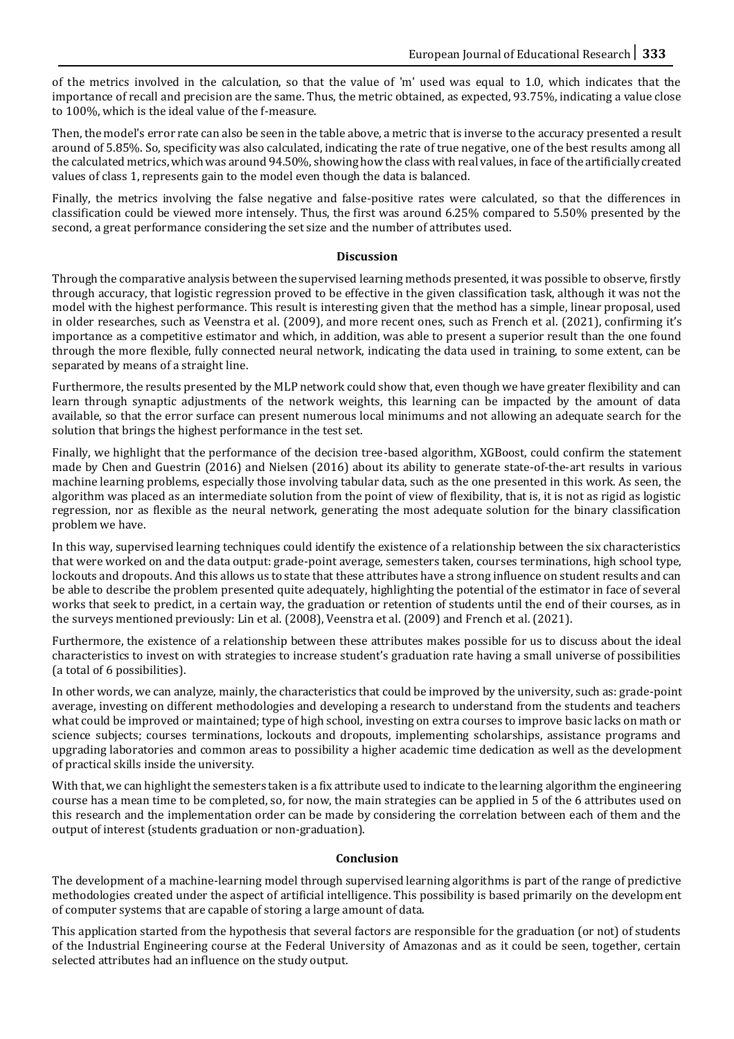of the metrics involved in the calculation, so that the value of 'm' used was equal to 1.0, which indicates that the importance of recall and precision are the same. Thus, the metric obtained, as expected, 93.75%, indicating a value close to 100%, which is the ideal value of the f-measure.

Then, the model's error rate can also be seen in the table above, a metric that is inverse to the accuracy presented a result around of 5.85%. So, specificity was also calculated, indicating the rate of true negative, one of the best results among all the calculated metrics, which was around 94.50%, showing how the class with real values, in face of the artificially created values of class 1, represents gain to the model even though the data is balanced.

Finally, the metrics involving the false negative and false-positive rates were calculated, so that the differences in classification could be viewed more intensely. Thus, the first was around 6.25% compared to 5.50% presented by the second, a great performance considering the set size and the number of attributes used.

#### **Discussion**

Through the comparative analysis between the supervised learning methods presented, it was possible to observe, firstly through accuracy, that logistic regression proved to be effective in the given classification task, although it was not the model with the highest performance. This result is interesting given that the method has a simple, linear proposal, used in older researches, such as Veenstra et al. (2009), and more recent ones, such as French et al. (2021), confirming it's importance as a competitive estimator and which, in addition, was able to present a superior result than the one found through the more flexible, fully connected neural network, indicating the data used in training, to some extent, can be separated by means of a straight line.

Furthermore, the results presented by the MLP network could show that, even though we have greater flexibility and can learn through synaptic adjustments of the network weights, this learning can be impacted by the amount of data available, so that the error surface can present numerous local minimums and not allowing an adequate search for the solution that brings the highest performance in the test set.

Finally, we highlight that the performance of the decision tree-based algorithm, XGBoost, could confirm the statement made by Chen and Guestrin (2016) and Nielsen (2016) about its ability to generate state-of-the-art results in various machine learning problems, especially those involving tabular data, such as the one presented in this work. As seen, the algorithm was placed as an intermediate solution from the point of view of flexibility, that is, it is not as rigid as logistic regression, nor as flexible as the neural network, generating the most adequate solution for the binary classification problem we have.

In this way, supervised learning techniques could identify the existence of a relationship between the six characteristics that were worked on and the data output: grade-point average, semesters taken, courses terminations, high school type, lockouts and dropouts. And this allows us to state that these attributes have a strong influence on student results and can be able to describe the problem presented quite adequately, highlighting the potential of the estimator in face of several works that seek to predict, in a certain way, the graduation or retention of students until the end of their courses, as in the surveys mentioned previously: Lin et al. (2008), Veenstra et al. (2009) and French et al. (2021).

Furthermore, the existence of a relationship between these attributes makes possible for us to discuss about the ideal characteristics to invest on with strategies to increase student's graduation rate having a small universe of possibilities (a total of 6 possibilities).

In other words, we can analyze, mainly, the characteristics that could be improved by the university, such as: grade-point average, investing on different methodologies and developing a research to understand from the students and teachers what could be improved or maintained; type of high school, investing on extra courses to improve basic lacks on math or science subjects; courses terminations, lockouts and dropouts, implementing scholarships, assistance programs and upgrading laboratories and common areas to possibility a higher academic time dedication as well as the development of practical skills inside the university.

With that, we can highlight the semesters taken is a fix attribute used to indicate to the learning algorithm the engineering course has a mean time to be completed, so, for now, the main strategies can be applied in 5 of the 6 attributes used on this research and the implementation order can be made by considering the correlation between each of them and the output of interest (students graduation or non-graduation).

#### **Conclusion**

The development of a machine-learning model through supervised learning algorithms is part of the range of predictive methodologies created under the aspect of artificial intelligence. This possibility is based primarily on the development of computer systems that are capable of storing a large amount of data.

This application started from the hypothesis that several factors are responsible for the graduation (or not) of students of the Industrial Engineering course at the Federal University of Amazonas and as it could be seen, together, certain selected attributes had an influence on the study output.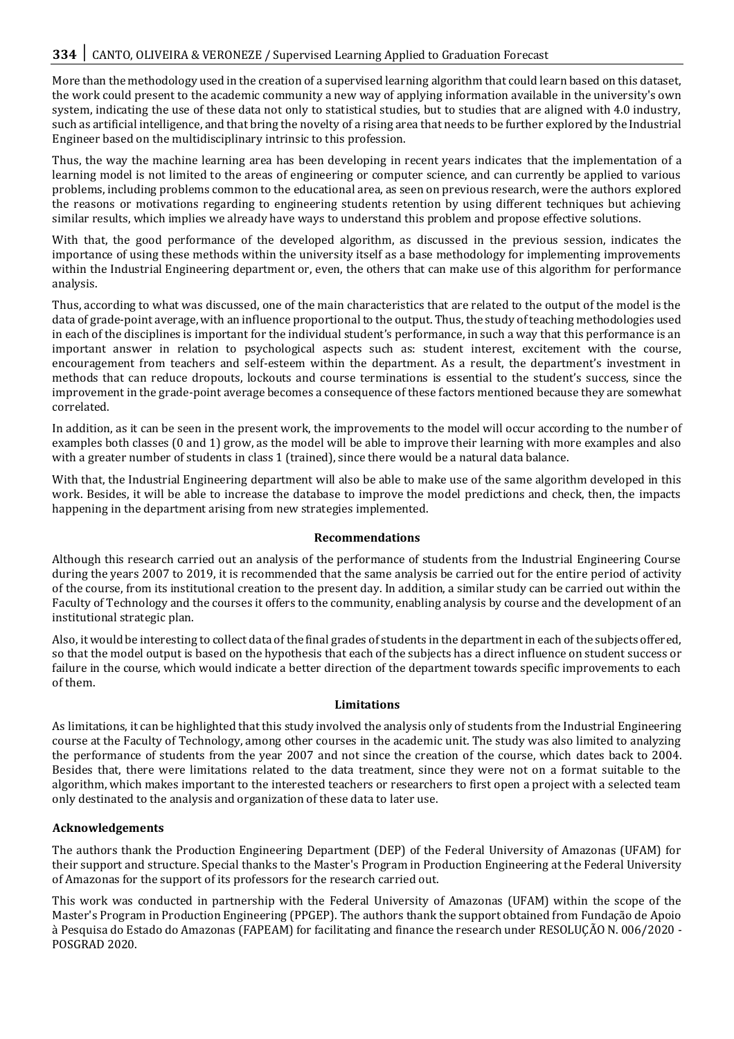More than the methodology used in the creation of a supervised learning algorithm that could learn based on this dataset, the work could present to the academic community a new way of applying information available in the university's own system, indicating the use of these data not only to statistical studies, but to studies that are aligned with 4.0 industry, such as artificial intelligence, and that bring the novelty of a rising area that needs to be further explored by the Industrial Engineer based on the multidisciplinary intrinsic to this profession.

Thus, the way the machine learning area has been developing in recent years indicates that the implementation of a learning model is not limited to the areas of engineering or computer science, and can currently be applied to various problems, including problems common to the educational area, as seen on previous research, were the authors explored the reasons or motivations regarding to engineering students retention by using different techniques but achieving similar results, which implies we already have ways to understand this problem and propose effective solutions.

With that, the good performance of the developed algorithm, as discussed in the previous session, indicates the importance of using these methods within the university itself as a base methodology for implementing improvements within the Industrial Engineering department or, even, the others that can make use of this algorithm for performance analysis.

Thus, according to what was discussed, one of the main characteristics that are related to the output of the model is the data of grade-point average, with an influence proportional to the output. Thus, the study of teaching methodologies used in each of the disciplines is important for the individual student's performance, in such a way that this performance is an important answer in relation to psychological aspects such as: student interest, excitement with the course, encouragement from teachers and self-esteem within the department. As a result, the department's investment in methods that can reduce dropouts, lockouts and course terminations is essential to the student's success, since the improvement in the grade-point average becomes a consequence of these factors mentioned because they are somewhat correlated.

In addition, as it can be seen in the present work, the improvements to the model will occur according to the number of examples both classes (0 and 1) grow, as the model will be able to improve their learning with more examples and also with a greater number of students in class 1 (trained), since there would be a natural data balance.

With that, the Industrial Engineering department will also be able to make use of the same algorithm developed in this work. Besides, it will be able to increase the database to improve the model predictions and check, then, the impacts happening in the department arising from new strategies implemented.

#### **Recommendations**

Although this research carried out an analysis of the performance of students from the Industrial Engineering Course during the years 2007 to 2019, it is recommended that the same analysis be carried out for the entire period of activity of the course, from its institutional creation to the present day. In addition, a similar study can be carried out within the Faculty of Technology and the courses it offers to the community, enabling analysis by course and the development of an institutional strategic plan.

Also, it would be interesting to collect data of the final grades of students in the department in each of the subjects offered, so that the model output is based on the hypothesis that each of the subjects has a direct influence on student success or failure in the course, which would indicate a better direction of the department towards specific improvements to each of them.

#### **Limitations**

As limitations, it can be highlighted that this study involved the analysis only of students from the Industrial Engineering course at the Faculty of Technology, among other courses in the academic unit. The study was also limited to analyzing the performance of students from the year 2007 and not since the creation of the course, which dates back to 2004. Besides that, there were limitations related to the data treatment, since they were not on a format suitable to the algorithm, which makes important to the interested teachers or researchers to first open a project with a selected team only destinated to the analysis and organization of these data to later use.

# **Acknowledgements**

The authors thank the Production Engineering Department (DEP) of the Federal University of Amazonas (UFAM) for their support and structure. Special thanks to the Master's Program in Production Engineering at the Federal University of Amazonas for the support of its professors for the research carried out.

This work was conducted in partnership with the Federal University of Amazonas (UFAM) within the scope of the Master's Program in Production Engineering (PPGEP). The authors thank the support obtained from Fundação de Apoio à Pesquisa do Estado do Amazonas (FAPEAM) for facilitating and finance the research under RESOLUÇÃO N. 006/2020 - POSGRAD 2020.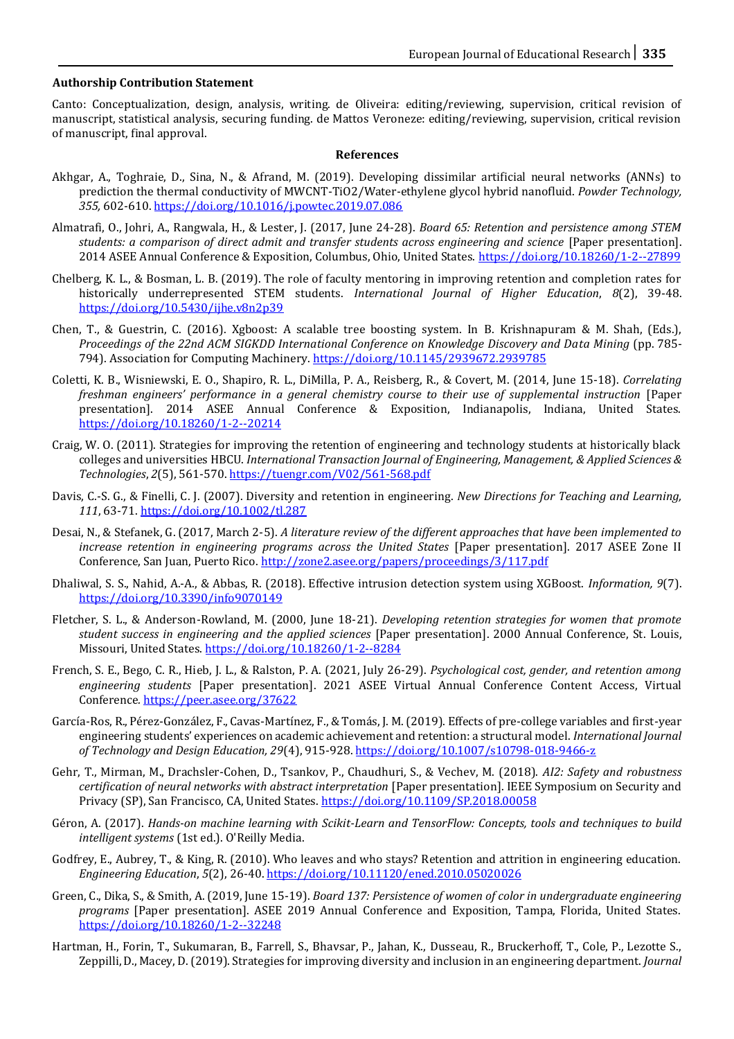#### **Authorship Contribution Statement**

Canto: Conceptualization, design, analysis, writing. de Oliveira: editing/reviewing, supervision, critical revision of manuscript, statistical analysis, securing funding. de Mattos Veroneze: editing/reviewing, supervision, critical revision of manuscript, final approval.

#### **References**

- Akhgar, A., Toghraie, D., Sina, N., & Afrand, M. (2019). Developing dissimilar artificial neural networks (ANNs) to prediction the thermal conductivity of MWCNT-TiO2/Water-ethylene glycol hybrid nanofluid. *Powder Technology, 355,* 602-610[. https://doi.org/10.1016/j.powtec.2019.07.086](https://doi.org/https:/doi.org/10.1016/j.powtec.2019.07.086)
- Almatrafi, O., Johri, A., Rangwala, H., & Lester, J. (2017, June 24-28). *Board 65: Retention and persistence among STEM students: a comparison of direct admit and transfer students across engineering and science* [Paper presentation]. 2014 ASEE Annual Conference & Exposition, Columbus, Ohio, United States[. https://doi.org/10.18260/1-2--27899](https://doi.org/10.18260/1-2--27899)
- Chelberg, K. L., & Bosman, L. B. (2019). The role of faculty mentoring in improving retention and completion rates for historically underrepresented STEM students. *International Journal of Higher Education*, *8*(2), 39-48. <https://doi.org/10.5430/ijhe.v8n2p39>
- Chen, T., & Guestrin, C. (2016). Xgboost: A scalable tree boosting system. In B. Krishnapuram & M. Shah, (Eds.), Proceedings of the 22nd ACM SIGKDD International Conference on Knowledge Discovery and Data Mining (pp. 785-794). Association for Computing Machinery[. https://doi.org/10.1145/2939672.2939785](https://doi.org/10.1145/2939672.2939785)
- Coletti, K. B., Wisniewski, E. O., Shapiro, R. L., DiMilla, P. A., Reisberg, R., & Covert, M. (2014, June 15-18). *Correlating freshman engineers' performance in a general chemistry course to their use of supplemental instruction* [Paper presentation]. 2014 ASEE Annual Conference & Exposition, Indianapolis, Indiana, United States. <https://doi.org/10.18260/1-2--20214>
- Craig, W. O. (2011). Strategies for improving the retention of engineering and technology students at historically black colleges and universities HBCU. *International Transaction Journal of Engineering, Management, & Applied Sciences & Technologies*, *2*(5), 561-570[. https://tuengr.com/V02/561-568.pdf](https://tuengr.com/V02/561-568.pdf)
- Davis, C.-S. G., & Finelli, C. J. (2007). Diversity and retention in engineering. *New Directions for Teaching and Learning, 111*, 63-71[. https://doi.org/10.1002/tl.287](https://doi.org/10.1002/tl.287)
- Desai, N., & Stefanek, G. (2017, March 2-5). *A literature review of the different approaches that have been implemented to increase retention in engineering programs across the United States* [Paper presentation]. 2017 ASEE Zone II Conference, San Juan, Puerto Rico. <http://zone2.asee.org/papers/proceedings/3/117.pdf>
- Dhaliwal, S. S., Nahid, A.-A., & Abbas, R. (2018). Effective intrusion detection system using XGBoost. *Information, 9*(7). <https://doi.org/10.3390/info9070149>
- Fletcher, S. L., & Anderson-Rowland, M. (2000, June 18-21). *Developing retention strategies for women that promote student success in engineering and the applied sciences* [Paper presentation]. 2000 Annual Conference, St. Louis, Missouri, United States[. https://doi.org/10.18260/1-2--8284](https://doi.org/10.18260/1-2--8284)
- French, S. E., Bego, C. R., Hieb, J. L., & Ralston, P. A. (2021, July 26-29). *Psychological cost, gender, and retention among engineering students* [Paper presentation]. 2021 ASEE Virtual Annual Conference Content Access, Virtual Conference*.* <https://peer.asee.org/37622>
- García-Ros, R., Pérez-González, F., Cavas-Martínez, F., & Tomás, J. M. (2019). Effects of pre-college variables and first-year engineering students' experiences on academic achievement and retention: a structural model. *International Journal of Technology and Design Education, 29*(4), 915-928[. https://doi.org/10.1007/s10798-018-9466-z](https://doi.org/10.1007/s10798-018-9466-z)
- Gehr, T., Mirman, M., Drachsler-Cohen, D., Tsankov, P., Chaudhuri, S., & Vechev, M. (2018). *AI2: Safety and robustness certification of neural networks with abstract interpretation* [Paper presentation]. IEEE Symposium on Security and Privacy (SP), San Francisco, CA, United States[. https://doi.org/10.1109/SP.2018.00058](https://doi.org/10.1109/SP.2018.00058)
- Géron, A. (2017). *Hands-on machine learning with Scikit-Learn and TensorFlow: Concepts, tools and techniques to build intelligent systems* (1st ed.). O'Reilly Media.
- Godfrey, E., Aubrey, T., & King, R. (2010). Who leaves and who stays? Retention and attrition in engineering education. *Engineering Education*, *5*(2), 26-40[. https://doi.org/10.11120/ened.2010.05020026](https://doi.org/10.11120/ened.2010.05020026)
- Green, C., Dika, S., & Smith, A. (2019, June 15-19). *Board 137: Persistence of women of color in undergraduate engineering programs* [Paper presentation]. ASEE 2019 Annual Conference and Exposition, Tampa, Florida, United States. <https://doi.org/10.18260/1-2--32248>
- Hartman, H., Forin, T., Sukumaran, B., Farrell, S., Bhavsar, P., Jahan, K., Dusseau, R., Bruckerhoff, T., Cole, P., Lezotte S., Zeppilli, D., Macey, D. (2019). Strategies for improving diversity and inclusion in an engineering department. *Journal*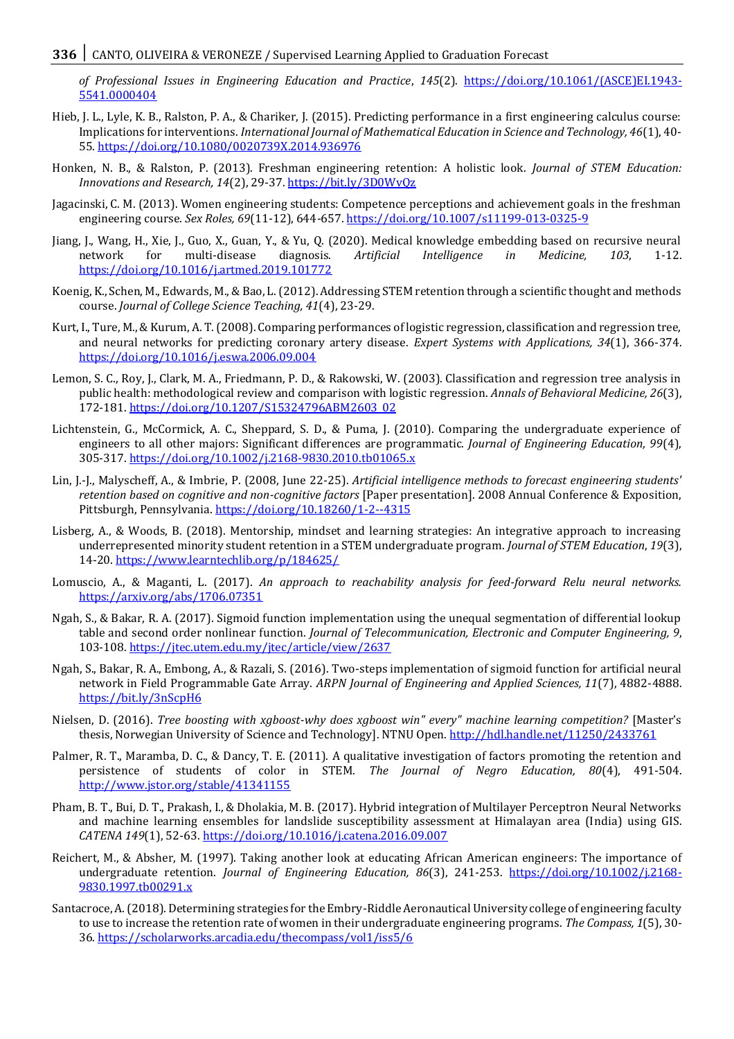*of Professional Issues in Engineering Education and Practice*, *145*(2). [https://doi.org/10.1061/\(ASCE\)EI.1943-](https://doi.org/10.1061/(ASCE)EI.1943-5541.0000404) [5541.0000404](https://doi.org/10.1061/(ASCE)EI.1943-5541.0000404)

- Hieb, J. L., Lyle, K. B., Ralston, P. A., & Chariker, J. (2015). Predicting performance in a first engineering calculus course: Implications for interventions. *International Journal of Mathematical Education in Science and Technology, 46*(1), 40- 55[. https://doi.org/10.1080/0020739X.2014.936976](https://doi.org/10.1080/0020739X.2014.936976)
- Honken, N. B., & Ralston, P. (2013). Freshman engineering retention: A holistic look. *Journal of STEM Education: Innovations and Research, 14*(2), 29-37. <https://bit.ly/3D0WvQz>
- Jagacinski, C. M. (2013). Women engineering students: Competence perceptions and achievement goals in the freshman engineering course. *Sex Roles, 69*(11-12), 644-657.<https://doi.org/10.1007/s11199-013-0325-9>
- Jiang, J., Wang, H., Xie, J., Guo, X., Guan, Y., & Yu, Q. (2020). Medical knowledge embedding based on recursive neural network for multi-disease diagnosis. *Artificial Intelligence in Medicine, 103*, 1-12. <https://doi.org/10.1016/j.artmed.2019.101772>
- Koenig, K., Schen, M., Edwards, M., & Bao, L. (2012). Addressing STEM retention through a scientific thought and methods course. *Journal of College Science Teaching, 41*(4), 23-29.
- Kurt, I., Ture, M., & Kurum, A. T. (2008). Comparing performances of logistic regression, classification and regression tree, and neural networks for predicting coronary artery disease. *Expert Systems with Applications, 34*(1), 366-374. <https://doi.org/10.1016/j.eswa.2006.09.004>
- Lemon, S. C., Roy, J., Clark, M. A., Friedmann, P. D., & Rakowski, W. (2003). Classification and regression tree analysis in public health: methodological review and comparison with logistic regression. *Annals of Behavioral Medicine, 26*(3), 172-181[. https://doi.org/10.1207/S15324796ABM2603\\_02](https://doi.org/10.1207/S15324796ABM2603_02)
- Lichtenstein, G., McCormick, A. C., Sheppard, S. D., & Puma, J. (2010). Comparing the undergraduate experience of engineers to all other majors: Significant differences are programmatic. *Journal of Engineering Education, 99*(4), 305-317. <https://doi.org/10.1002/j.2168-9830.2010.tb01065.x>
- Lin, J.-J., Malyscheff, A., & Imbrie, P. (2008, June 22-25). *Artificial intelligence methods to forecast engineering students' retention based on cognitive and non-cognitive factors* [Paper presentation]. 2008 Annual Conference & Exposition, Pittsburgh, Pennsylvania[. https://doi.org/10.18260/1-2--4315](https://doi.org/10.18260/1-2--4315)
- Lisberg, A., & Woods, B. (2018). Mentorship, mindset and learning strategies: An integrative approach to increasing underrepresented minority student retention in a STEM undergraduate program. *Journal of STEM Education*, *19*(3), 14-20. <https://www.learntechlib.org/p/184625/>
- Lomuscio, A., & Maganti, L. (2017). *An approach to reachability analysis for feed-forward Relu neural networks.*  <https://arxiv.org/abs/1706.07351>
- Ngah, S., & Bakar, R. A. (2017). Sigmoid function implementation using the unequal segmentation of differential lookup table and second order nonlinear function. *Journal of Telecommunication, Electronic and Computer Engineering, 9*, 103-108[. https://jtec.utem.edu.my/jtec/article/view/2637](https://jtec.utem.edu.my/jtec/article/view/2637)
- Ngah, S., Bakar, R. A., Embong, A., & Razali, S. (2016). Two-steps implementation of sigmoid function for artificial neural network in Field Programmable Gate Array. *ARPN Journal of Engineering and Applied Sciences, 11*(7), 4882-4888. <https://bit.ly/3nScpH6>
- Nielsen, D. (2016). *Tree boosting with xgboost-why does xgboost win" every" machine learning competition?* [Master's thesis, Norwegian University of Science and Technology]. NTNU Open[. http://hdl.handle.net/11250/2433761](http://hdl.handle.net/11250/2433761)
- Palmer, R. T., Maramba, D. C., & Dancy, T. E. (2011). A qualitative investigation of factors promoting the retention and persistence of students of color in STEM. *The Journal of Negro Education, 80*(4), 491-504. <http://www.jstor.org/stable/41341155>
- Pham, B. T., Bui, D. T., Prakash, I., & Dholakia, M. B. (2017). Hybrid integration of Multilayer Perceptron Neural Networks and machine learning ensembles for landslide susceptibility assessment at Himalayan area (India) using GIS. *CATENA 149*(1), 52-63[. https://doi.org/10.1016/j.catena.2016.09.007](https://doi.org/10.1016/j.catena.2016.09.007)
- Reichert, M., & Absher, M. (1997). Taking another look at educating African American engineers: The importance of undergraduate retention. *Journal of Engineering Education, 86*(3), 241-253. [https://doi.org/10.1002/j.2168-](https://doi.org/10.1002/j.2168-9830.1997.tb00291.x) [9830.1997.tb00291.x](https://doi.org/10.1002/j.2168-9830.1997.tb00291.x)
- Santacroce, A. (2018). Determining strategies for the Embry-Riddle Aeronautical University college of engineering faculty to use to increase the retention rate of women in their undergraduate engineering programs. *The Compass, 1*(5), 30- 36[. https://scholarworks.arcadia.edu/thecompass/vol1/iss5/6](https://scholarworks.arcadia.edu/thecompass/vol1/iss5/6)